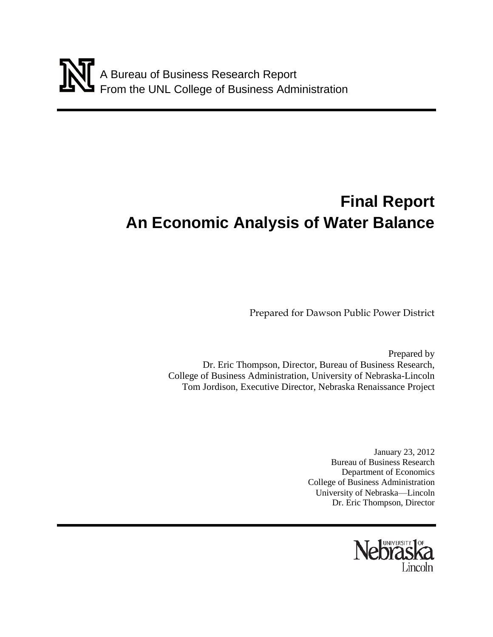# **Final Report An Economic Analysis of Water Balance**

Prepared for Dawson Public Power District

Prepared by Dr. Eric Thompson, Director, Bureau of Business Research, College of Business Administration, University of Nebraska-Lincoln Tom Jordison, Executive Director, Nebraska Renaissance Project

> January 23, 2012 Bureau of Business Research Department of Economics College of Business Administration University of Nebraska—Lincoln Dr. Eric Thompson, Director

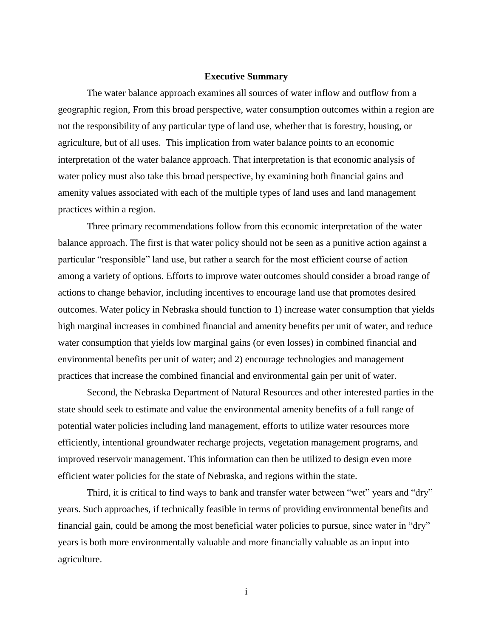#### **Executive Summary**

The water balance approach examines all sources of water inflow and outflow from a geographic region, From this broad perspective, water consumption outcomes within a region are not the responsibility of any particular type of land use, whether that is forestry, housing, or agriculture, but of all uses. This implication from water balance points to an economic interpretation of the water balance approach. That interpretation is that economic analysis of water policy must also take this broad perspective, by examining both financial gains and amenity values associated with each of the multiple types of land uses and land management practices within a region.

Three primary recommendations follow from this economic interpretation of the water balance approach. The first is that water policy should not be seen as a punitive action against a particular "responsible" land use, but rather a search for the most efficient course of action among a variety of options. Efforts to improve water outcomes should consider a broad range of actions to change behavior, including incentives to encourage land use that promotes desired outcomes. Water policy in Nebraska should function to 1) increase water consumption that yields high marginal increases in combined financial and amenity benefits per unit of water, and reduce water consumption that yields low marginal gains (or even losses) in combined financial and environmental benefits per unit of water; and 2) encourage technologies and management practices that increase the combined financial and environmental gain per unit of water.

Second, the Nebraska Department of Natural Resources and other interested parties in the state should seek to estimate and value the environmental amenity benefits of a full range of potential water policies including land management, efforts to utilize water resources more efficiently, intentional groundwater recharge projects, vegetation management programs, and improved reservoir management. This information can then be utilized to design even more efficient water policies for the state of Nebraska, and regions within the state.

Third, it is critical to find ways to bank and transfer water between "wet" years and "dry" years. Such approaches, if technically feasible in terms of providing environmental benefits and financial gain, could be among the most beneficial water policies to pursue, since water in "dry" years is both more environmentally valuable and more financially valuable as an input into agriculture.

i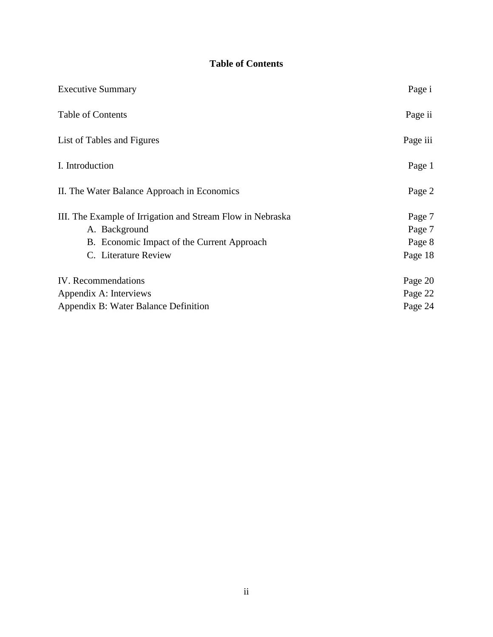# **Table of Contents**

| <b>Executive Summary</b>                                   | Page i   |
|------------------------------------------------------------|----------|
| <b>Table of Contents</b>                                   | Page ii  |
| List of Tables and Figures                                 | Page iii |
| I. Introduction                                            | Page 1   |
| II. The Water Balance Approach in Economics                | Page 2   |
| III. The Example of Irrigation and Stream Flow in Nebraska | Page 7   |
| A. Background                                              | Page 7   |
| B. Economic Impact of the Current Approach                 | Page 8   |
| C. Literature Review                                       | Page 18  |
| IV. Recommendations                                        | Page 20  |
| Appendix A: Interviews                                     | Page 22  |
| Appendix B: Water Balance Definition                       | Page 24  |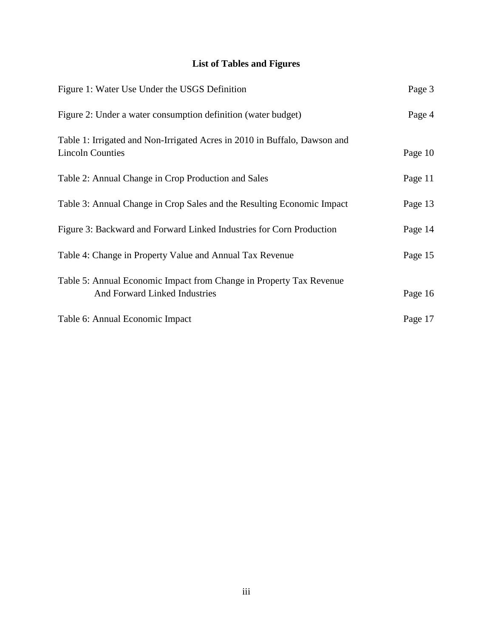# **List of Tables and Figures**

| Figure 1: Water Use Under the USGS Definition                                                        | Page 3  |
|------------------------------------------------------------------------------------------------------|---------|
| Figure 2: Under a water consumption definition (water budget)                                        | Page 4  |
| Table 1: Irrigated and Non-Irrigated Acres in 2010 in Buffalo, Dawson and<br><b>Lincoln Counties</b> | Page 10 |
| Table 2: Annual Change in Crop Production and Sales                                                  | Page 11 |
| Table 3: Annual Change in Crop Sales and the Resulting Economic Impact                               | Page 13 |
| Figure 3: Backward and Forward Linked Industries for Corn Production                                 | Page 14 |
| Table 4: Change in Property Value and Annual Tax Revenue                                             | Page 15 |
| Table 5: Annual Economic Impact from Change in Property Tax Revenue<br>And Forward Linked Industries | Page 16 |
| Table 6: Annual Economic Impact                                                                      | Page 17 |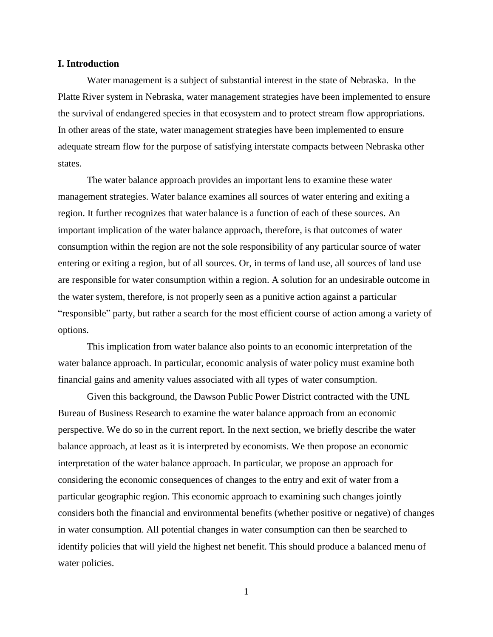#### **I. Introduction**

Water management is a subject of substantial interest in the state of Nebraska. In the Platte River system in Nebraska, water management strategies have been implemented to ensure the survival of endangered species in that ecosystem and to protect stream flow appropriations. In other areas of the state, water management strategies have been implemented to ensure adequate stream flow for the purpose of satisfying interstate compacts between Nebraska other states.

The water balance approach provides an important lens to examine these water management strategies. Water balance examines all sources of water entering and exiting a region. It further recognizes that water balance is a function of each of these sources. An important implication of the water balance approach, therefore, is that outcomes of water consumption within the region are not the sole responsibility of any particular source of water entering or exiting a region, but of all sources. Or, in terms of land use, all sources of land use are responsible for water consumption within a region. A solution for an undesirable outcome in the water system, therefore, is not properly seen as a punitive action against a particular "responsible" party, but rather a search for the most efficient course of action among a variety of options.

This implication from water balance also points to an economic interpretation of the water balance approach. In particular, economic analysis of water policy must examine both financial gains and amenity values associated with all types of water consumption.

Given this background, the Dawson Public Power District contracted with the UNL Bureau of Business Research to examine the water balance approach from an economic perspective. We do so in the current report. In the next section, we briefly describe the water balance approach, at least as it is interpreted by economists. We then propose an economic interpretation of the water balance approach. In particular, we propose an approach for considering the economic consequences of changes to the entry and exit of water from a particular geographic region. This economic approach to examining such changes jointly considers both the financial and environmental benefits (whether positive or negative) of changes in water consumption. All potential changes in water consumption can then be searched to identify policies that will yield the highest net benefit. This should produce a balanced menu of water policies.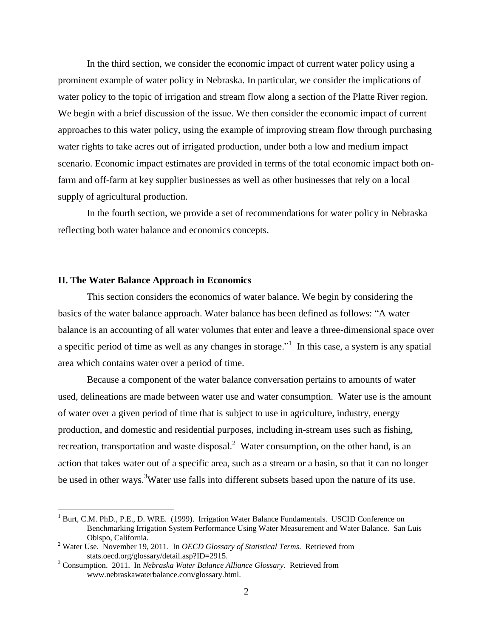In the third section, we consider the economic impact of current water policy using a prominent example of water policy in Nebraska. In particular, we consider the implications of water policy to the topic of irrigation and stream flow along a section of the Platte River region. We begin with a brief discussion of the issue. We then consider the economic impact of current approaches to this water policy, using the example of improving stream flow through purchasing water rights to take acres out of irrigated production, under both a low and medium impact scenario. Economic impact estimates are provided in terms of the total economic impact both onfarm and off-farm at key supplier businesses as well as other businesses that rely on a local supply of agricultural production.

In the fourth section, we provide a set of recommendations for water policy in Nebraska reflecting both water balance and economics concepts.

#### **II. The Water Balance Approach in Economics**

 $\overline{a}$ 

This section considers the economics of water balance. We begin by considering the basics of the water balance approach. Water balance has been defined as follows: "A water balance is an accounting of all water volumes that enter and leave a three-dimensional space over a specific period of time as well as any changes in storage." In this case, a system is any spatial area which contains water over a period of time.

Because a component of the water balance conversation pertains to amounts of water used, delineations are made between water use and water consumption. Water use is the amount of water over a given period of time that is subject to use in agriculture, industry, energy production, and domestic and residential purposes, including in-stream uses such as fishing, recreation, transportation and waste disposal.<sup>2</sup> Water consumption, on the other hand, is an action that takes water out of a specific area, such as a stream or a basin, so that it can no longer be used in other ways.<sup>3</sup>Water use falls into different subsets based upon the nature of its use.

<sup>&</sup>lt;sup>1</sup> Burt, C.M. PhD., P.E., D. WRE. (1999). Irrigation Water Balance Fundamentals. USCID Conference on Benchmarking Irrigation System Performance Using Water Measurement and Water Balance. San Luis Obispo, California.

<sup>2</sup> Water Use. November 19, 2011. In *OECD Glossary of Statistical Terms*. Retrieved from stats.oecd.org/glossary/detail.asp?ID=2915.

<sup>3</sup> Consumption. 2011. In *Nebraska Water Balance Alliance Glossary*. Retrieved from www.nebraskawaterbalance.com/glossary.html.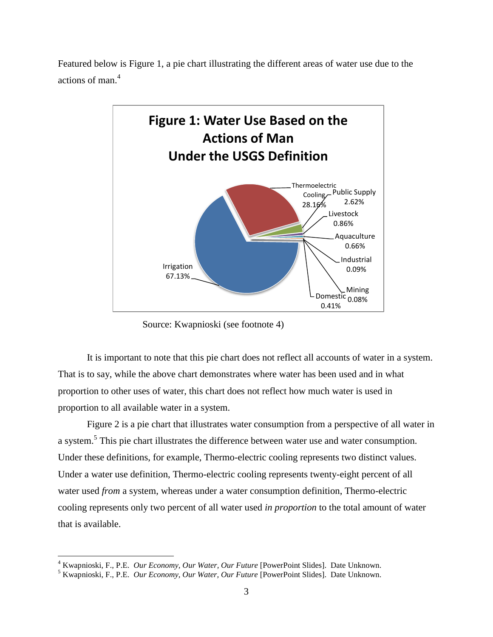

Featured below is Figure 1, a pie chart illustrating the different areas of water use due to the actions of man. 4

Source: Kwapnioski (see footnote 4)

It is important to note that this pie chart does not reflect all accounts of water in a system. That is to say, while the above chart demonstrates where water has been used and in what proportion to other uses of water, this chart does not reflect how much water is used in proportion to all available water in a system.

Figure 2 is a pie chart that illustrates water consumption from a perspective of all water in a system.<sup>5</sup> This pie chart illustrates the difference between water use and water consumption. Under these definitions, for example, Thermo-electric cooling represents two distinct values. Under a water use definition, Thermo-electric cooling represents twenty-eight percent of all water used *from* a system, whereas under a water consumption definition, Thermo-electric cooling represents only two percent of all water used *in proportion* to the total amount of water that is available.

 $\overline{a}$ 

<sup>4</sup> Kwapnioski, F., P.E. *Our Economy, Our Water, Our Future* [PowerPoint Slides]. Date Unknown.

<sup>5</sup> Kwapnioski, F., P.E. *Our Economy, Our Water, Our Future* [PowerPoint Slides]. Date Unknown.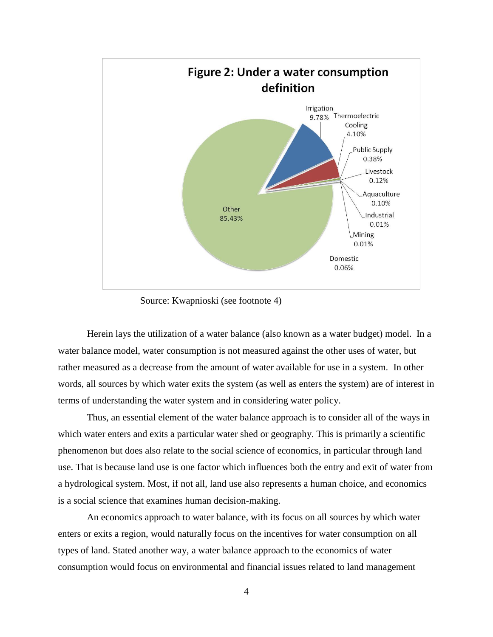

Source: Kwapnioski (see footnote 4)

Herein lays the utilization of a water balance (also known as a water budget) model. In a water balance model, water consumption is not measured against the other uses of water, but rather measured as a decrease from the amount of water available for use in a system. In other words, all sources by which water exits the system (as well as enters the system) are of interest in terms of understanding the water system and in considering water policy.

Thus, an essential element of the water balance approach is to consider all of the ways in which water enters and exits a particular water shed or geography. This is primarily a scientific phenomenon but does also relate to the social science of economics, in particular through land use. That is because land use is one factor which influences both the entry and exit of water from a hydrological system. Most, if not all, land use also represents a human choice, and economics is a social science that examines human decision-making.

An economics approach to water balance, with its focus on all sources by which water enters or exits a region, would naturally focus on the incentives for water consumption on all types of land. Stated another way, a water balance approach to the economics of water consumption would focus on environmental and financial issues related to land management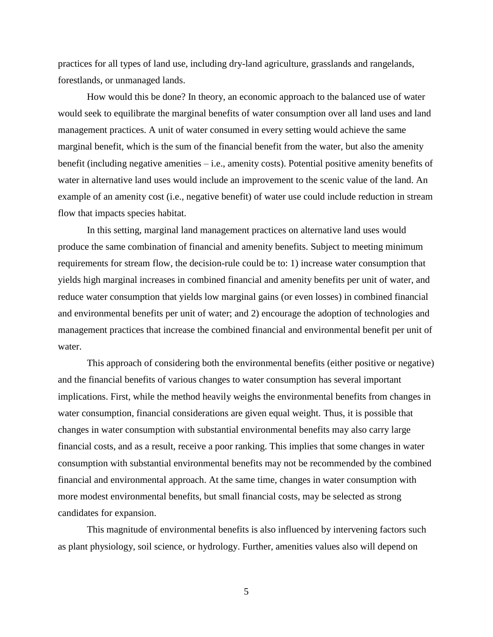practices for all types of land use, including dry-land agriculture, grasslands and rangelands, forestlands, or unmanaged lands.

How would this be done? In theory, an economic approach to the balanced use of water would seek to equilibrate the marginal benefits of water consumption over all land uses and land management practices. A unit of water consumed in every setting would achieve the same marginal benefit, which is the sum of the financial benefit from the water, but also the amenity benefit (including negative amenities – i.e., amenity costs). Potential positive amenity benefits of water in alternative land uses would include an improvement to the scenic value of the land. An example of an amenity cost (i.e., negative benefit) of water use could include reduction in stream flow that impacts species habitat.

In this setting, marginal land management practices on alternative land uses would produce the same combination of financial and amenity benefits. Subject to meeting minimum requirements for stream flow, the decision-rule could be to: 1) increase water consumption that yields high marginal increases in combined financial and amenity benefits per unit of water, and reduce water consumption that yields low marginal gains (or even losses) in combined financial and environmental benefits per unit of water; and 2) encourage the adoption of technologies and management practices that increase the combined financial and environmental benefit per unit of water.

This approach of considering both the environmental benefits (either positive or negative) and the financial benefits of various changes to water consumption has several important implications. First, while the method heavily weighs the environmental benefits from changes in water consumption, financial considerations are given equal weight. Thus, it is possible that changes in water consumption with substantial environmental benefits may also carry large financial costs, and as a result, receive a poor ranking. This implies that some changes in water consumption with substantial environmental benefits may not be recommended by the combined financial and environmental approach. At the same time, changes in water consumption with more modest environmental benefits, but small financial costs, may be selected as strong candidates for expansion.

This magnitude of environmental benefits is also influenced by intervening factors such as plant physiology, soil science, or hydrology. Further, amenities values also will depend on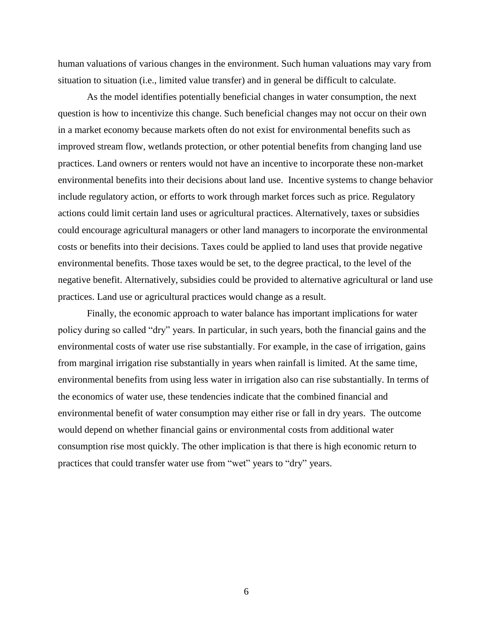human valuations of various changes in the environment. Such human valuations may vary from situation to situation (i.e., limited value transfer) and in general be difficult to calculate.

As the model identifies potentially beneficial changes in water consumption, the next question is how to incentivize this change. Such beneficial changes may not occur on their own in a market economy because markets often do not exist for environmental benefits such as improved stream flow, wetlands protection, or other potential benefits from changing land use practices. Land owners or renters would not have an incentive to incorporate these non-market environmental benefits into their decisions about land use. Incentive systems to change behavior include regulatory action, or efforts to work through market forces such as price. Regulatory actions could limit certain land uses or agricultural practices. Alternatively, taxes or subsidies could encourage agricultural managers or other land managers to incorporate the environmental costs or benefits into their decisions. Taxes could be applied to land uses that provide negative environmental benefits. Those taxes would be set, to the degree practical, to the level of the negative benefit. Alternatively, subsidies could be provided to alternative agricultural or land use practices. Land use or agricultural practices would change as a result.

Finally, the economic approach to water balance has important implications for water policy during so called "dry" years. In particular, in such years, both the financial gains and the environmental costs of water use rise substantially. For example, in the case of irrigation, gains from marginal irrigation rise substantially in years when rainfall is limited. At the same time, environmental benefits from using less water in irrigation also can rise substantially. In terms of the economics of water use, these tendencies indicate that the combined financial and environmental benefit of water consumption may either rise or fall in dry years. The outcome would depend on whether financial gains or environmental costs from additional water consumption rise most quickly. The other implication is that there is high economic return to practices that could transfer water use from "wet" years to "dry" years.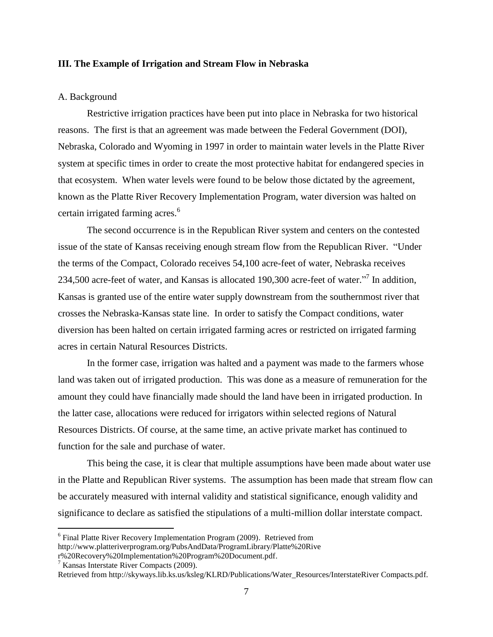#### **III. The Example of Irrigation and Stream Flow in Nebraska**

#### A. Background

Restrictive irrigation practices have been put into place in Nebraska for two historical reasons. The first is that an agreement was made between the Federal Government (DOI), Nebraska, Colorado and Wyoming in 1997 in order to maintain water levels in the Platte River system at specific times in order to create the most protective habitat for endangered species in that ecosystem. When water levels were found to be below those dictated by the agreement, known as the Platte River Recovery Implementation Program, water diversion was halted on certain irrigated farming acres.<sup>6</sup>

The second occurrence is in the Republican River system and centers on the contested issue of the state of Kansas receiving enough stream flow from the Republican River. "Under the terms of the Compact, Colorado receives 54,100 acre-feet of water, Nebraska receives 234,500 acre-feet of water, and Kansas is allocated 190,300 acre-feet of water. $\cdot$ <sup>7</sup> In addition, Kansas is granted use of the entire water supply downstream from the southernmost river that crosses the Nebraska-Kansas state line. In order to satisfy the Compact conditions, water diversion has been halted on certain irrigated farming acres or restricted on irrigated farming acres in certain Natural Resources Districts.

In the former case, irrigation was halted and a payment was made to the farmers whose land was taken out of irrigated production. This was done as a measure of remuneration for the amount they could have financially made should the land have been in irrigated production. In the latter case, allocations were reduced for irrigators within selected regions of Natural Resources Districts. Of course, at the same time, an active private market has continued to function for the sale and purchase of water.

This being the case, it is clear that multiple assumptions have been made about water use in the Platte and Republican River systems. The assumption has been made that stream flow can be accurately measured with internal validity and statistical significance, enough validity and significance to declare as satisfied the stipulations of a multi-million dollar interstate compact.

 $\overline{a}$ 

<sup>&</sup>lt;sup>6</sup> Final Platte River Recovery Implementation Program (2009). Retrieved from [http://www.platteriverprogram.org/PubsAndData/ProgramLibrary/Platte%20Rive](http://www.platteriverprogram.org/PubsAndData/ProgramLibrary/Platte%20Rive%20r%20Recovery%20Implementation%20Program%20Document.pdf)  [r%20Recovery%20Implementation%20Program%20Document.pdf.](http://www.platteriverprogram.org/PubsAndData/ProgramLibrary/Platte%20Rive%20r%20Recovery%20Implementation%20Program%20Document.pdf)

<sup>7</sup> Kansas Interstate River Compacts (2009).

Retrieved from [http://skyways.lib.ks.us/ksleg/KLRD/Publications/Water\\_Resources/InterstateRiver Compacts.pdf.](http://skyways.lib.ks.us/ksleg/KLRD/Publications/Water_Resources/InterstateRiver%20Compacts.pdf)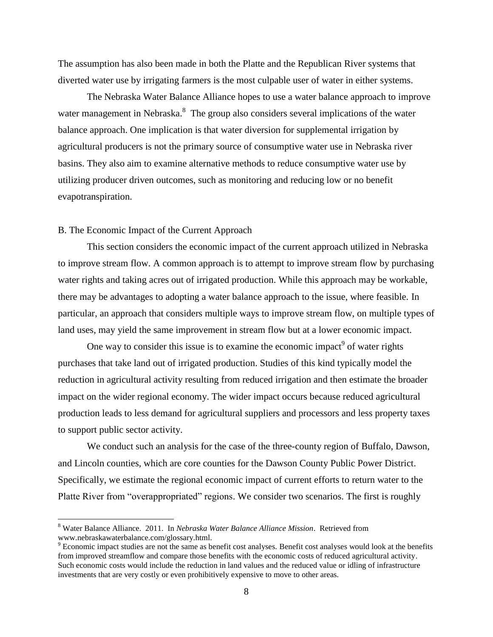The assumption has also been made in both the Platte and the Republican River systems that diverted water use by irrigating farmers is the most culpable user of water in either systems.

The Nebraska Water Balance Alliance hopes to use a water balance approach to improve water management in Nebraska.<sup>8</sup> The group also considers several implications of the water balance approach. One implication is that water diversion for supplemental irrigation by agricultural producers is not the primary source of consumptive water use in Nebraska river basins. They also aim to examine alternative methods to reduce consumptive water use by utilizing producer driven outcomes, such as monitoring and reducing low or no benefit evapotranspiration.

#### B. The Economic Impact of the Current Approach

 $\overline{a}$ 

This section considers the economic impact of the current approach utilized in Nebraska to improve stream flow. A common approach is to attempt to improve stream flow by purchasing water rights and taking acres out of irrigated production. While this approach may be workable, there may be advantages to adopting a water balance approach to the issue, where feasible. In particular, an approach that considers multiple ways to improve stream flow, on multiple types of land uses, may yield the same improvement in stream flow but at a lower economic impact.

One way to consider this issue is to examine the economic impact<sup>9</sup> of water rights purchases that take land out of irrigated production. Studies of this kind typically model the reduction in agricultural activity resulting from reduced irrigation and then estimate the broader impact on the wider regional economy. The wider impact occurs because reduced agricultural production leads to less demand for agricultural suppliers and processors and less property taxes to support public sector activity.

We conduct such an analysis for the case of the three-county region of Buffalo, Dawson, and Lincoln counties, which are core counties for the Dawson County Public Power District. Specifically, we estimate the regional economic impact of current efforts to return water to the Platte River from "overappropriated" regions. We consider two scenarios. The first is roughly

<sup>8</sup> Water Balance Alliance. 2011. In *Nebraska Water Balance Alliance Mission*. Retrieved from [www.nebraskawaterbalance.c](http://www.nebraskawaterbalance/)om/glossary.html.

<sup>9</sup> Economic impact studies are not the same as benefit cost analyses. Benefit cost analyses would look at the benefits from improved streamflow and compare those benefits with the economic costs of reduced agricultural activity. Such economic costs would include the reduction in land values and the reduced value or idling of infrastructure investments that are very costly or even prohibitively expensive to move to other areas.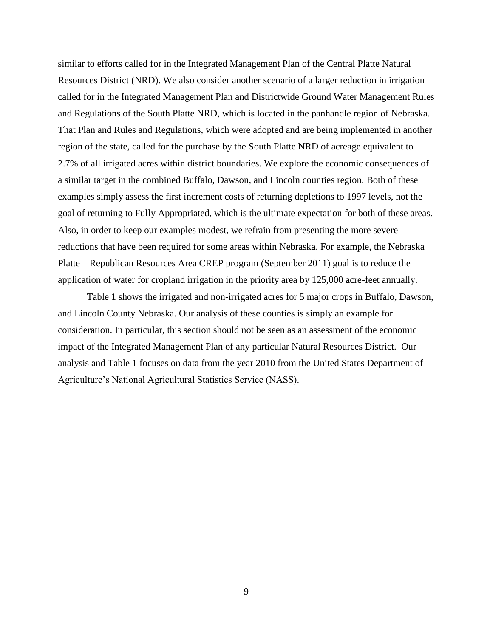similar to efforts called for in the Integrated Management Plan of the Central Platte Natural Resources District (NRD). We also consider another scenario of a larger reduction in irrigation called for in the Integrated Management Plan and Districtwide Ground Water Management Rules and Regulations of the South Platte NRD, which is located in the panhandle region of Nebraska. That Plan and Rules and Regulations, which were adopted and are being implemented in another region of the state, called for the purchase by the South Platte NRD of acreage equivalent to 2.7% of all irrigated acres within district boundaries. We explore the economic consequences of a similar target in the combined Buffalo, Dawson, and Lincoln counties region. Both of these examples simply assess the first increment costs of returning depletions to 1997 levels, not the goal of returning to Fully Appropriated, which is the ultimate expectation for both of these areas. Also, in order to keep our examples modest, we refrain from presenting the more severe reductions that have been required for some areas within Nebraska. For example, the Nebraska Platte – Republican Resources Area CREP program (September 2011) goal is to reduce the application of water for cropland irrigation in the priority area by 125,000 acre-feet annually.

Table 1 shows the irrigated and non-irrigated acres for 5 major crops in Buffalo, Dawson, and Lincoln County Nebraska. Our analysis of these counties is simply an example for consideration. In particular, this section should not be seen as an assessment of the economic impact of the Integrated Management Plan of any particular Natural Resources District. Our analysis and Table 1 focuses on data from the year 2010 from the United States Department of Agriculture's National Agricultural Statistics Service (NASS).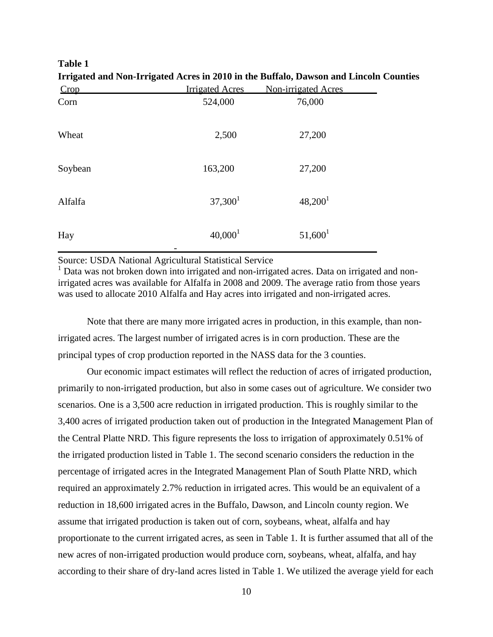| --o-<br>。<br>Crop | <b>Irrigated Acres</b> | Non-irrigated Acres |  |
|-------------------|------------------------|---------------------|--|
| Corn              | 524,000                | 76,000              |  |
| Wheat             | 2,500                  | 27,200              |  |
| Soybean           | 163,200                | 27,200              |  |
| Alfalfa           | 37,300 <sup>1</sup>    | 48,200 <sup>1</sup> |  |
| Hay               | 40,000 <sup>1</sup>    | $51,600^1$          |  |

**Table 1 Irrigated and Non-Irrigated Acres in 2010 in the Buffalo, Dawson and Lincoln Counties** 

Source: USDA National Agricultural Statistical Service

 $<sup>1</sup>$  Data was not broken down into irrigated and non-irrigated acres. Data on irrigated and non-</sup> irrigated acres was available for Alfalfa in 2008 and 2009. The average ratio from those years was used to allocate 2010 Alfalfa and Hay acres into irrigated and non-irrigated acres.

Note that there are many more irrigated acres in production, in this example, than nonirrigated acres. The largest number of irrigated acres is in corn production. These are the principal types of crop production reported in the NASS data for the 3 counties.

Our economic impact estimates will reflect the reduction of acres of irrigated production, primarily to non-irrigated production, but also in some cases out of agriculture. We consider two scenarios. One is a 3,500 acre reduction in irrigated production. This is roughly similar to the 3,400 acres of irrigated production taken out of production in the Integrated Management Plan of the Central Platte NRD. This figure represents the loss to irrigation of approximately 0.51% of the irrigated production listed in Table 1. The second scenario considers the reduction in the percentage of irrigated acres in the Integrated Management Plan of South Platte NRD, which required an approximately 2.7% reduction in irrigated acres. This would be an equivalent of a reduction in 18,600 irrigated acres in the Buffalo, Dawson, and Lincoln county region. We assume that irrigated production is taken out of corn, soybeans, wheat, alfalfa and hay proportionate to the current irrigated acres, as seen in Table 1. It is further assumed that all of the new acres of non-irrigated production would produce corn, soybeans, wheat, alfalfa, and hay according to their share of dry-land acres listed in Table 1. We utilized the average yield for each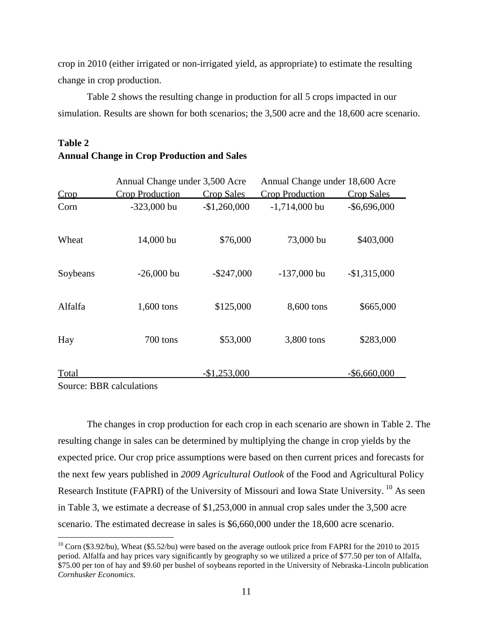crop in 2010 (either irrigated or non-irrigated yield, as appropriate) to estimate the resulting change in crop production.

Table 2 shows the resulting change in production for all 5 crops impacted in our simulation. Results are shown for both scenarios; the 3,500 acre and the 18,600 acre scenario.

#### **Table 2**

#### **Annual Change in Crop Production and Sales**

|              | Annual Change under 3,500 Acre |                   | Annual Change under 18,600 Acre |                   |
|--------------|--------------------------------|-------------------|---------------------------------|-------------------|
| Crop         | <b>Crop Production</b>         | <b>Crop Sales</b> | <b>Crop Production</b>          | <b>Crop Sales</b> |
| Corn         | $-323,000$ bu                  | $-$1,260,000$     | $-1,714,000$ bu                 | $-$ \$6,696,000   |
| Wheat        | 14,000 bu                      | \$76,000          | 73,000 bu                       | \$403,000         |
| Soybeans     | $-26,000$ bu                   | $-$ \$247,000     | $-137,000$ bu                   | $-$1,315,000$     |
| Alfalfa      | 1,600 tons                     | \$125,000         | 8,600 tons                      | \$665,000         |
| Hay          | 700 tons                       | \$53,000          | 3,800 tons                      | \$283,000         |
| <b>Total</b> |                                | $-$1,253,000$     |                                 | $-$ \$6,660,000   |

Source: BBR calculations

 $\overline{a}$ 

The changes in crop production for each crop in each scenario are shown in Table 2. The resulting change in sales can be determined by multiplying the change in crop yields by the expected price. Our crop price assumptions were based on then current prices and forecasts for the next few years published in *2009 Agricultural Outlook* of the Food and Agricultural Policy Research Institute (FAPRI) of the University of Missouri and Iowa State University.<sup>10</sup> As seen in Table 3, we estimate a decrease of \$1,253,000 in annual crop sales under the 3,500 acre scenario. The estimated decrease in sales is \$6,660,000 under the 18,600 acre scenario.

<sup>&</sup>lt;sup>10</sup> Corn (\$3.92/bu), Wheat (\$5.52/bu) were based on the average outlook price from FAPRI for the 2010 to 2015 period. Alfalfa and hay prices vary significantly by geography so we utilized a price of \$77.50 per ton of Alfalfa, \$75.00 per ton of hay and \$9.60 per bushel of soybeans reported in the University of Nebraska-Lincoln publication *Cornhusker Economics*.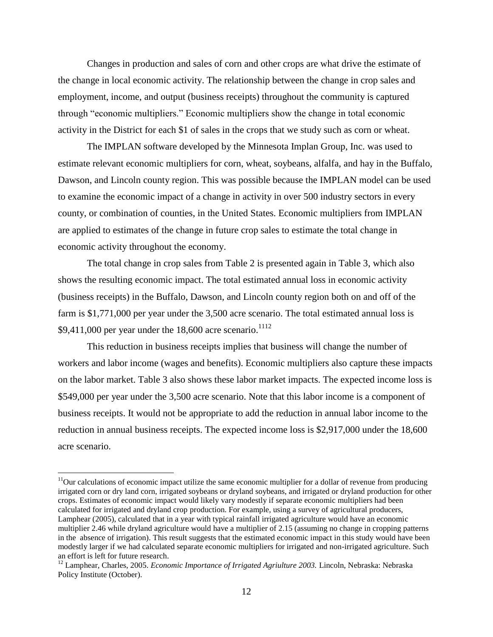Changes in production and sales of corn and other crops are what drive the estimate of the change in local economic activity. The relationship between the change in crop sales and employment, income, and output (business receipts) throughout the community is captured through "economic multipliers." Economic multipliers show the change in total economic activity in the District for each \$1 of sales in the crops that we study such as corn or wheat.

The IMPLAN software developed by the Minnesota Implan Group, Inc. was used to estimate relevant economic multipliers for corn, wheat, soybeans, alfalfa, and hay in the Buffalo, Dawson, and Lincoln county region. This was possible because the IMPLAN model can be used to examine the economic impact of a change in activity in over 500 industry sectors in every county, or combination of counties, in the United States. Economic multipliers from IMPLAN are applied to estimates of the change in future crop sales to estimate the total change in economic activity throughout the economy.

The total change in crop sales from Table 2 is presented again in Table 3, which also shows the resulting economic impact. The total estimated annual loss in economic activity (business receipts) in the Buffalo, Dawson, and Lincoln county region both on and off of the farm is \$1,771,000 per year under the 3,500 acre scenario. The total estimated annual loss is  $$9,411,000$  per year under the 18,600 acre scenario.<sup>1112</sup>

This reduction in business receipts implies that business will change the number of workers and labor income (wages and benefits). Economic multipliers also capture these impacts on the labor market. Table 3 also shows these labor market impacts. The expected income loss is \$549,000 per year under the 3,500 acre scenario. Note that this labor income is a component of business receipts. It would not be appropriate to add the reduction in annual labor income to the reduction in annual business receipts. The expected income loss is \$2,917,000 under the 18,600 acre scenario.

 $\overline{a}$ 

 $11$ Our calculations of economic impact utilize the same economic multiplier for a dollar of revenue from producing irrigated corn or dry land corn, irrigated soybeans or dryland soybeans, and irrigated or dryland production for other crops. Estimates of economic impact would likely vary modestly if separate economic multipliers had been calculated for irrigated and dryland crop production. For example, using a survey of agricultural producers, Lamphear (2005), calculated that in a year with typical rainfall irrigated agriculture would have an economic multiplier 2.46 while dryland agriculture would have a multiplier of 2.15 (assuming no change in cropping patterns in the absence of irrigation). This result suggests that the estimated economic impact in this study would have been modestly larger if we had calculated separate economic multipliers for irrigated and non-irrigated agriculture. Such an effort is left for future research.

<sup>12</sup> Lamphear, Charles, 2005. *Economic Importance of Irrigated Agriulture 2003.* Lincoln, Nebraska: Nebraska Policy Institute (October).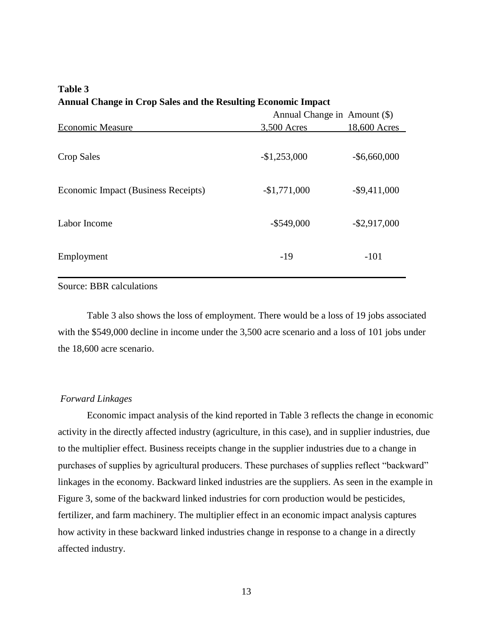| Allingal Change in Crop Sales and the Resulting Economic Impact |                              |                 |  |
|-----------------------------------------------------------------|------------------------------|-----------------|--|
|                                                                 | Annual Change in Amount (\$) |                 |  |
| <b>Economic Measure</b>                                         | 3,500 Acres                  | 18,600 Acres    |  |
| Crop Sales                                                      | $-$1,253,000$                | $-$ \$6,660,000 |  |
| Economic Impact (Business Receipts)                             | $-$1,771,000$                | $-$ \$9,411,000 |  |
| Labor Income                                                    | $-$ \$549,000                | $-$ \$2,917,000 |  |
| Employment                                                      | $-19$                        | $-101$          |  |

### **Table 3 Annual Change in Crop Sales and the Resulting Economic Impact**

Source: BBR calculations

Table 3 also shows the loss of employment. There would be a loss of 19 jobs associated with the \$549,000 decline in income under the 3,500 acre scenario and a loss of 101 jobs under the 18,600 acre scenario.

#### *Forward Linkages*

Economic impact analysis of the kind reported in Table 3 reflects the change in economic activity in the directly affected industry (agriculture, in this case), and in supplier industries, due to the multiplier effect. Business receipts change in the supplier industries due to a change in purchases of supplies by agricultural producers. These purchases of supplies reflect "backward" linkages in the economy. Backward linked industries are the suppliers. As seen in the example in Figure 3, some of the backward linked industries for corn production would be pesticides, fertilizer, and farm machinery. The multiplier effect in an economic impact analysis captures how activity in these backward linked industries change in response to a change in a directly affected industry.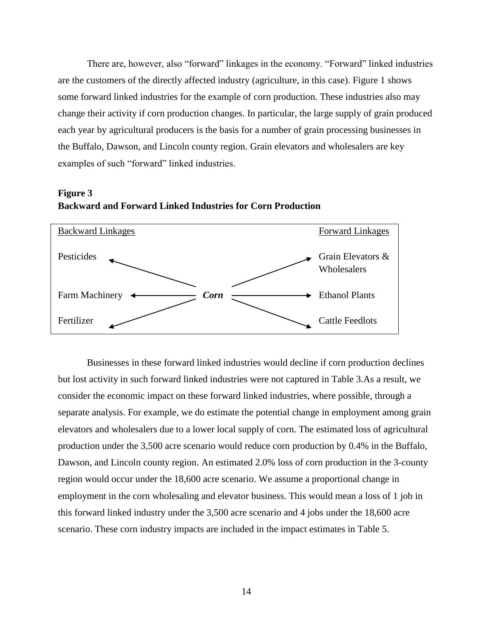There are, however, also "forward" linkages in the economy. "Forward" linked industries are the customers of the directly affected industry (agriculture, in this case). Figure 1 shows some forward linked industries for the example of corn production. These industries also may change their activity if corn production changes. In particular, the large supply of grain produced each year by agricultural producers is the basis for a number of grain processing businesses in the Buffalo, Dawson, and Lincoln county region. Grain elevators and wholesalers are key examples of such "forward" linked industries.





Businesses in these forward linked industries would decline if corn production declines but lost activity in such forward linked industries were not captured in Table 3.As a result, we consider the economic impact on these forward linked industries, where possible, through a separate analysis. For example, we do estimate the potential change in employment among grain elevators and wholesalers due to a lower local supply of corn. The estimated loss of agricultural production under the 3,500 acre scenario would reduce corn production by 0.4% in the Buffalo, Dawson, and Lincoln county region. An estimated 2.0% loss of corn production in the 3-county region would occur under the 18,600 acre scenario. We assume a proportional change in employment in the corn wholesaling and elevator business. This would mean a loss of 1 job in this forward linked industry under the 3,500 acre scenario and 4 jobs under the 18,600 acre scenario. These corn industry impacts are included in the impact estimates in Table 5.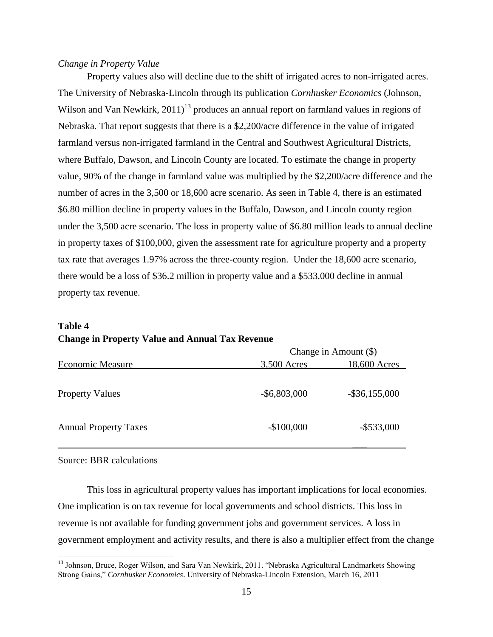#### *Change in Property Value*

Property values also will decline due to the shift of irrigated acres to non-irrigated acres. The University of Nebraska-Lincoln through its publication *Cornhusker Economics* (Johnson, Wilson and Van Newkirk, 2011)<sup>13</sup> produces an annual report on farmland values in regions of Nebraska. That report suggests that there is a \$2,200/acre difference in the value of irrigated farmland versus non-irrigated farmland in the Central and Southwest Agricultural Districts, where Buffalo, Dawson, and Lincoln County are located. To estimate the change in property value, 90% of the change in farmland value was multiplied by the \$2,200/acre difference and the number of acres in the 3,500 or 18,600 acre scenario. As seen in Table 4, there is an estimated \$6.80 million decline in property values in the Buffalo, Dawson, and Lincoln county region under the 3,500 acre scenario. The loss in property value of \$6.80 million leads to annual decline in property taxes of \$100,000, given the assessment rate for agriculture property and a property tax rate that averages 1.97% across the three-county region. Under the 18,600 acre scenario, there would be a loss of \$36.2 million in property value and a \$533,000 decline in annual property tax revenue.

#### **Table 4 Change in Property Value and Annual Tax Revenue**

|                              | Change in Amount (\$) |                  |
|------------------------------|-----------------------|------------------|
| <b>Economic Measure</b>      | 3,500 Acres           | 18,600 Acres     |
| <b>Property Values</b>       | $-$ \$6,803,000       | $-$ \$36,155,000 |
| <b>Annual Property Taxes</b> | $-$100,000$           | $-$ \$533,000    |

#### Source: BBR calculations

 $\overline{a}$ 

This loss in agricultural property values has important implications for local economies. One implication is on tax revenue for local governments and school districts. This loss in revenue is not available for funding government jobs and government services. A loss in government employment and activity results, and there is also a multiplier effect from the change

<sup>&</sup>lt;sup>13</sup> Johnson, Bruce, Roger Wilson, and Sara Van Newkirk, 2011. "Nebraska Agricultural Landmarkets Showing Strong Gains," *Cornhusker Economics*. University of Nebraska-Lincoln Extension, March 16, 2011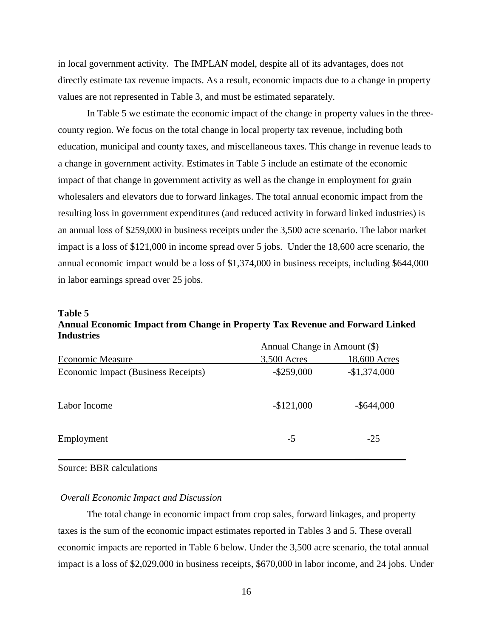in local government activity. The IMPLAN model, despite all of its advantages, does not directly estimate tax revenue impacts. As a result, economic impacts due to a change in property values are not represented in Table 3, and must be estimated separately.

In Table 5 we estimate the economic impact of the change in property values in the threecounty region. We focus on the total change in local property tax revenue, including both education, municipal and county taxes, and miscellaneous taxes. This change in revenue leads to a change in government activity. Estimates in Table 5 include an estimate of the economic impact of that change in government activity as well as the change in employment for grain wholesalers and elevators due to forward linkages. The total annual economic impact from the resulting loss in government expenditures (and reduced activity in forward linked industries) is an annual loss of \$259,000 in business receipts under the 3,500 acre scenario. The labor market impact is a loss of \$121,000 in income spread over 5 jobs. Under the 18,600 acre scenario, the annual economic impact would be a loss of \$1,374,000 in business receipts, including \$644,000 in labor earnings spread over 25 jobs.

#### **Table 5 Annual Economic Impact from Change in Property Tax Revenue and Forward Linked Industries**

|                                     | Annual Change in Amount (\$) |               |
|-------------------------------------|------------------------------|---------------|
| <b>Economic Measure</b>             | 3,500 Acres                  | 18,600 Acres  |
| Economic Impact (Business Receipts) | $-$ \$259,000                | $-$1,374,000$ |
| Labor Income                        | $-$121,000$                  | $-$ \$644,000 |
| Employment                          | $-5$                         | $-25$         |

Source: BBR calculations

#### *Overall Economic Impact and Discussion*

The total change in economic impact from crop sales, forward linkages, and property taxes is the sum of the economic impact estimates reported in Tables 3 and 5. These overall economic impacts are reported in Table 6 below. Under the 3,500 acre scenario, the total annual impact is a loss of \$2,029,000 in business receipts, \$670,000 in labor income, and 24 jobs. Under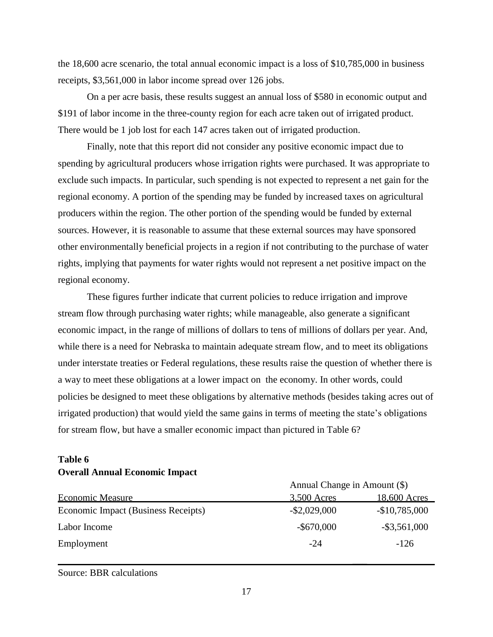the 18,600 acre scenario, the total annual economic impact is a loss of \$10,785,000 in business receipts, \$3,561,000 in labor income spread over 126 jobs.

On a per acre basis, these results suggest an annual loss of \$580 in economic output and \$191 of labor income in the three-county region for each acre taken out of irrigated product. There would be 1 job lost for each 147 acres taken out of irrigated production.

Finally, note that this report did not consider any positive economic impact due to spending by agricultural producers whose irrigation rights were purchased. It was appropriate to exclude such impacts. In particular, such spending is not expected to represent a net gain for the regional economy. A portion of the spending may be funded by increased taxes on agricultural producers within the region. The other portion of the spending would be funded by external sources. However, it is reasonable to assume that these external sources may have sponsored other environmentally beneficial projects in a region if not contributing to the purchase of water rights, implying that payments for water rights would not represent a net positive impact on the regional economy.

These figures further indicate that current policies to reduce irrigation and improve stream flow through purchasing water rights; while manageable, also generate a significant economic impact, in the range of millions of dollars to tens of millions of dollars per year. And, while there is a need for Nebraska to maintain adequate stream flow, and to meet its obligations under interstate treaties or Federal regulations, these results raise the question of whether there is a way to meet these obligations at a lower impact on the economy. In other words, could policies be designed to meet these obligations by alternative methods (besides taking acres out of irrigated production) that would yield the same gains in terms of meeting the state's obligations for stream flow, but have a smaller economic impact than pictured in Table 6?

|                                     | Annual Change in Amount (\$) |                 |
|-------------------------------------|------------------------------|-----------------|
| <b>Economic Measure</b>             | 3,500 Acres                  | 18,600 Acres    |
| Economic Impact (Business Receipts) | $-$ \$2,029,000              | $-$10,785,000$  |
| Labor Income                        | $-$ \$670,000                | $-$ \$3,561,000 |
| Employment                          | $-24$                        | $-126$          |

## **Table 6 Overall Annual Economic Impact**

Source: BBR calculations

 $\overline{\phantom{a}}$  , which is a set of the set of the set of the set of the set of the set of the set of the set of the set of the set of the set of the set of the set of the set of the set of the set of the set of the set of th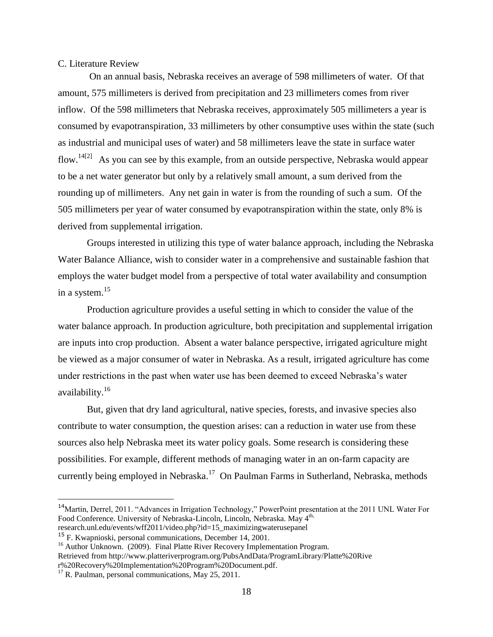#### C. Literature Review

On an annual basis, Nebraska receives an average of 598 millimeters of water. Of that amount, 575 millimeters is derived from precipitation and 23 millimeters comes from river inflow. Of the 598 millimeters that Nebraska receives, approximately 505 millimeters a year is consumed by evapotranspiration, 33 millimeters by other consumptive uses within the state (such as industrial and municipal uses of water) and 58 millimeters leave the state in surface water flow.<sup>14[2]</sup> As you can see by this example, from an outside perspective, Nebraska would appear to be a net water generator but only by a relatively small amount, a sum derived from the rounding up of millimeters. Any net gain in water is from the rounding of such a sum. Of the 505 millimeters per year of water consumed by evapotranspiration within the state, only 8% is derived from supplemental irrigation.

Groups interested in utilizing this type of water balance approach, including the Nebraska Water Balance Alliance, wish to consider water in a comprehensive and sustainable fashion that employs the water budget model from a perspective of total water availability and consumption in a system.<sup>15</sup>

Production agriculture provides a useful setting in which to consider the value of the water balance approach. In production agriculture, both precipitation and supplemental irrigation are inputs into crop production. Absent a water balance perspective, irrigated agriculture might be viewed as a major consumer of water in Nebraska. As a result, irrigated agriculture has come under restrictions in the past when water use has been deemed to exceed Nebraska's water availability.<sup>16</sup>

But, given that dry land agricultural, native species, forests, and invasive species also contribute to water consumption, the question arises: can a reduction in water use from these sources also help Nebraska meet its water policy goals. Some research is considering these possibilities. For example, different methods of managing water in an on-farm capacity are currently being employed in Nebraska.<sup>17</sup> On Paulman Farms in Sutherland, Nebraska, methods

 $\overline{a}$ 

<sup>&</sup>lt;sup>14</sup>Martin. Derrel, 2011. "Advances in Irrigation Technology," PowerPoint presentation at the 2011 UNL Water For Food Conference. University of Nebraska-Lincoln, Lincoln, Nebraska. May 4<sup>th,</sup> research.unl.edu/events/wff2011/video.php?id=15\_maximizingwaterusepanel

<sup>15</sup> F. Kwapnioski, personal communications, December 14, 2001.

<sup>&</sup>lt;sup>16</sup> Author Unknown. (2009). Final Platte River Recovery Implementation Program. Retrieved from [http://www.platteriverprogram.org/PubsAndData/ProgramLibrary/Platte%20Rive](http://www.platteriverprogram.org/PubsAndData/ProgramLibrary/Platte%20Rive%20r%20Recovery%20Implementation%20Program%20Document.pdf)  [r%20Recovery%20Implementation%20Program%20Document.pdf.](http://www.platteriverprogram.org/PubsAndData/ProgramLibrary/Platte%20Rive%20r%20Recovery%20Implementation%20Program%20Document.pdf)

 $17$  R. Paulman, personal communications, May 25, 2011.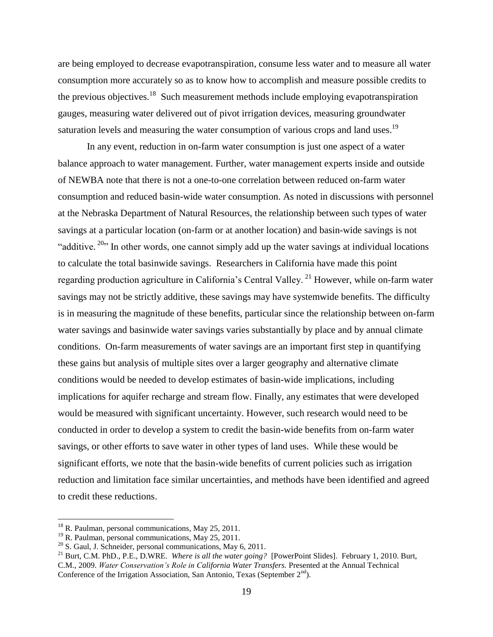are being employed to decrease evapotranspiration, consume less water and to measure all water consumption more accurately so as to know how to accomplish and measure possible credits to the previous objectives.<sup>18</sup> Such measurement methods include employing evapotranspiration gauges, measuring water delivered out of pivot irrigation devices, measuring groundwater saturation levels and measuring the water consumption of various crops and land uses.<sup>19</sup>

In any event, reduction in on-farm water consumption is just one aspect of a water balance approach to water management. Further, water management experts inside and outside of NEWBA note that there is not a one-to-one correlation between reduced on-farm water consumption and reduced basin-wide water consumption. As noted in discussions with personnel at the Nebraska Department of Natural Resources, the relationship between such types of water savings at a particular location (on-farm or at another location) and basin-wide savings is not "additive.<sup>20"</sup> In other words, one cannot simply add up the water savings at individual locations to calculate the total basinwide savings. Researchers in California have made this point regarding production agriculture in California's Central Valley.<sup>21</sup> However, while on-farm water savings may not be strictly additive, these savings may have systemwide benefits. The difficulty is in measuring the magnitude of these benefits, particular since the relationship between on-farm water savings and basinwide water savings varies substantially by place and by annual climate conditions. On-farm measurements of water savings are an important first step in quantifying these gains but analysis of multiple sites over a larger geography and alternative climate conditions would be needed to develop estimates of basin-wide implications, including implications for aquifer recharge and stream flow. Finally, any estimates that were developed would be measured with significant uncertainty. However, such research would need to be conducted in order to develop a system to credit the basin-wide benefits from on-farm water savings, or other efforts to save water in other types of land uses. While these would be significant efforts, we note that the basin-wide benefits of current policies such as irrigation reduction and limitation face similar uncertainties, and methods have been identified and agreed to credit these reductions.

 $\overline{a}$ 

<sup>&</sup>lt;sup>18</sup> R. Paulman, personal communications, May 25, 2011.

<sup>&</sup>lt;sup>19</sup> R. Paulman, personal communications, May 25, 2011.

 $^{20}$  S. Gaul, J. Schneider, personal communications, May 6, 2011.

<sup>21</sup> Burt, C.M. PhD., P.E., D.WRE. *Where is all the water going?* [PowerPoint Slides]. February 1, 2010. Burt, C.M., 2009. *Water Conservation's Role in California Water Transfers.* Presented at the Annual Technical Conference of the Irrigation Association, San Antonio, Texas (September  $2<sup>nd</sup>$ ).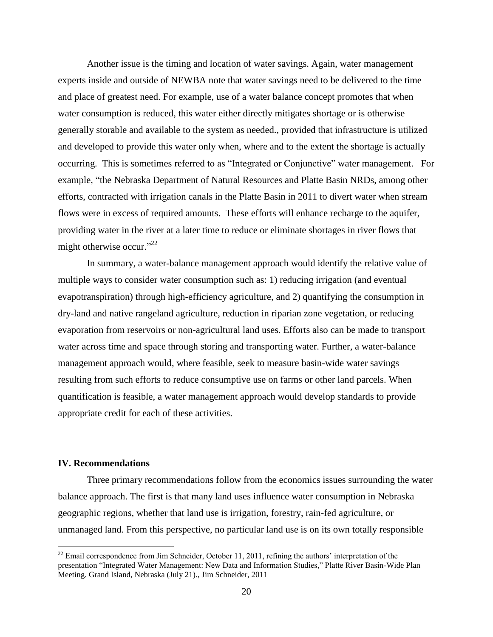Another issue is the timing and location of water savings. Again, water management experts inside and outside of NEWBA note that water savings need to be delivered to the time and place of greatest need. For example, use of a water balance concept promotes that when water consumption is reduced, this water either directly mitigates shortage or is otherwise generally storable and available to the system as needed., provided that infrastructure is utilized and developed to provide this water only when, where and to the extent the shortage is actually occurring. This is sometimes referred to as "Integrated or Conjunctive" water management. For example, "the Nebraska Department of Natural Resources and Platte Basin NRDs, among other efforts, contracted with irrigation canals in the Platte Basin in 2011 to divert water when stream flows were in excess of required amounts. These efforts will enhance recharge to the aquifer, providing water in the river at a later time to reduce or eliminate shortages in river flows that might otherwise occur."<sup>22</sup>

In summary, a water-balance management approach would identify the relative value of multiple ways to consider water consumption such as: 1) reducing irrigation (and eventual evapotranspiration) through high-efficiency agriculture, and 2) quantifying the consumption in dry-land and native rangeland agriculture, reduction in riparian zone vegetation, or reducing evaporation from reservoirs or non-agricultural land uses. Efforts also can be made to transport water across time and space through storing and transporting water. Further, a water-balance management approach would, where feasible, seek to measure basin-wide water savings resulting from such efforts to reduce consumptive use on farms or other land parcels. When quantification is feasible, a water management approach would develop standards to provide appropriate credit for each of these activities.

#### **IV. Recommendations**

 $\overline{a}$ 

Three primary recommendations follow from the economics issues surrounding the water balance approach. The first is that many land uses influence water consumption in Nebraska geographic regions, whether that land use is irrigation, forestry, rain-fed agriculture, or unmanaged land. From this perspective, no particular land use is on its own totally responsible

<sup>&</sup>lt;sup>22</sup> Email correspondence from Jim Schneider, October 11, 2011, refining the authors' interpretation of the presentation "Integrated Water Management: New Data and Information Studies," Platte River Basin-Wide Plan Meeting. Grand Island, Nebraska (July 21)., Jim Schneider, 2011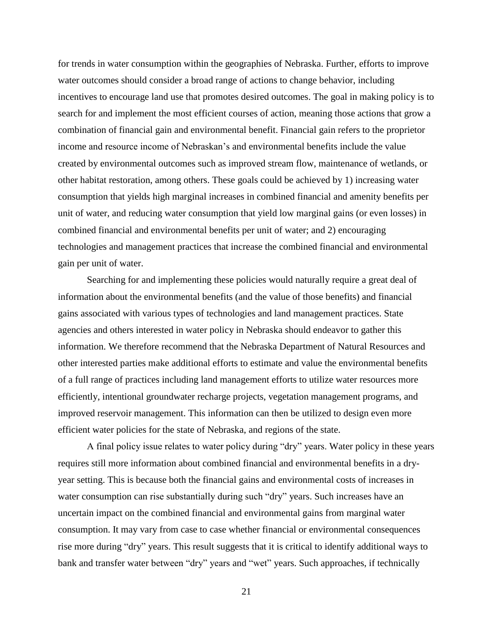for trends in water consumption within the geographies of Nebraska. Further, efforts to improve water outcomes should consider a broad range of actions to change behavior, including incentives to encourage land use that promotes desired outcomes. The goal in making policy is to search for and implement the most efficient courses of action, meaning those actions that grow a combination of financial gain and environmental benefit. Financial gain refers to the proprietor income and resource income of Nebraskan's and environmental benefits include the value created by environmental outcomes such as improved stream flow, maintenance of wetlands, or other habitat restoration, among others. These goals could be achieved by 1) increasing water consumption that yields high marginal increases in combined financial and amenity benefits per unit of water, and reducing water consumption that yield low marginal gains (or even losses) in combined financial and environmental benefits per unit of water; and 2) encouraging technologies and management practices that increase the combined financial and environmental gain per unit of water.

Searching for and implementing these policies would naturally require a great deal of information about the environmental benefits (and the value of those benefits) and financial gains associated with various types of technologies and land management practices. State agencies and others interested in water policy in Nebraska should endeavor to gather this information. We therefore recommend that the Nebraska Department of Natural Resources and other interested parties make additional efforts to estimate and value the environmental benefits of a full range of practices including land management efforts to utilize water resources more efficiently, intentional groundwater recharge projects, vegetation management programs, and improved reservoir management. This information can then be utilized to design even more efficient water policies for the state of Nebraska, and regions of the state.

A final policy issue relates to water policy during "dry" years. Water policy in these years requires still more information about combined financial and environmental benefits in a dryyear setting. This is because both the financial gains and environmental costs of increases in water consumption can rise substantially during such "dry" years. Such increases have an uncertain impact on the combined financial and environmental gains from marginal water consumption. It may vary from case to case whether financial or environmental consequences rise more during "dry" years. This result suggests that it is critical to identify additional ways to bank and transfer water between "dry" years and "wet" years. Such approaches, if technically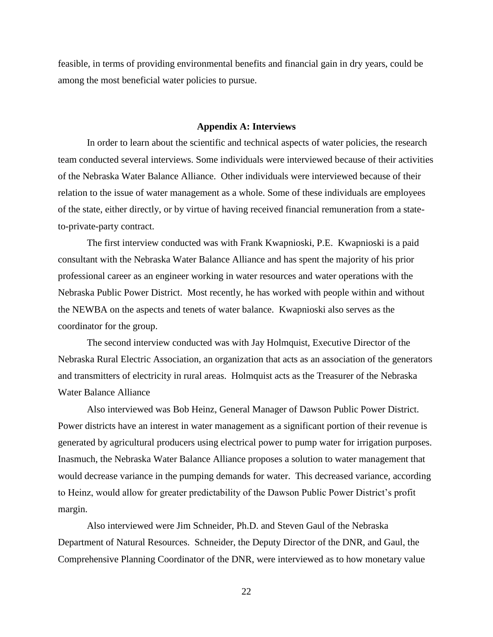feasible, in terms of providing environmental benefits and financial gain in dry years, could be among the most beneficial water policies to pursue.

#### **Appendix A: Interviews**

In order to learn about the scientific and technical aspects of water policies, the research team conducted several interviews. Some individuals were interviewed because of their activities of the Nebraska Water Balance Alliance. Other individuals were interviewed because of their relation to the issue of water management as a whole. Some of these individuals are employees of the state, either directly, or by virtue of having received financial remuneration from a stateto-private-party contract.

The first interview conducted was with Frank Kwapnioski, P.E. Kwapnioski is a paid consultant with the Nebraska Water Balance Alliance and has spent the majority of his prior professional career as an engineer working in water resources and water operations with the Nebraska Public Power District. Most recently, he has worked with people within and without the NEWBA on the aspects and tenets of water balance. Kwapnioski also serves as the coordinator for the group.

The second interview conducted was with Jay Holmquist, Executive Director of the Nebraska Rural Electric Association, an organization that acts as an association of the generators and transmitters of electricity in rural areas. Holmquist acts as the Treasurer of the Nebraska Water Balance Alliance

Also interviewed was Bob Heinz, General Manager of Dawson Public Power District. Power districts have an interest in water management as a significant portion of their revenue is generated by agricultural producers using electrical power to pump water for irrigation purposes. Inasmuch, the Nebraska Water Balance Alliance proposes a solution to water management that would decrease variance in the pumping demands for water. This decreased variance, according to Heinz, would allow for greater predictability of the Dawson Public Power District's profit margin.

Also interviewed were Jim Schneider, Ph.D. and Steven Gaul of the Nebraska Department of Natural Resources. Schneider, the Deputy Director of the DNR, and Gaul, the Comprehensive Planning Coordinator of the DNR, were interviewed as to how monetary value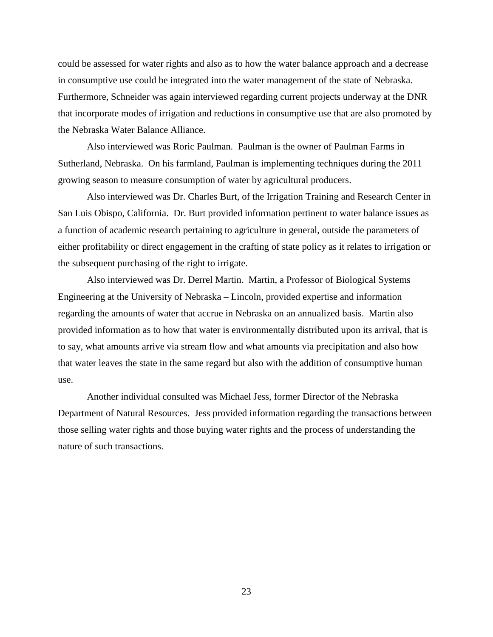could be assessed for water rights and also as to how the water balance approach and a decrease in consumptive use could be integrated into the water management of the state of Nebraska. Furthermore, Schneider was again interviewed regarding current projects underway at the DNR that incorporate modes of irrigation and reductions in consumptive use that are also promoted by the Nebraska Water Balance Alliance.

Also interviewed was Roric Paulman. Paulman is the owner of Paulman Farms in Sutherland, Nebraska. On his farmland, Paulman is implementing techniques during the 2011 growing season to measure consumption of water by agricultural producers.

Also interviewed was Dr. Charles Burt, of the Irrigation Training and Research Center in San Luis Obispo, California. Dr. Burt provided information pertinent to water balance issues as a function of academic research pertaining to agriculture in general, outside the parameters of either profitability or direct engagement in the crafting of state policy as it relates to irrigation or the subsequent purchasing of the right to irrigate.

Also interviewed was Dr. Derrel Martin. Martin, a Professor of Biological Systems Engineering at the University of Nebraska – Lincoln, provided expertise and information regarding the amounts of water that accrue in Nebraska on an annualized basis. Martin also provided information as to how that water is environmentally distributed upon its arrival, that is to say, what amounts arrive via stream flow and what amounts via precipitation and also how that water leaves the state in the same regard but also with the addition of consumptive human use.

Another individual consulted was Michael Jess, former Director of the Nebraska Department of Natural Resources. Jess provided information regarding the transactions between those selling water rights and those buying water rights and the process of understanding the nature of such transactions.